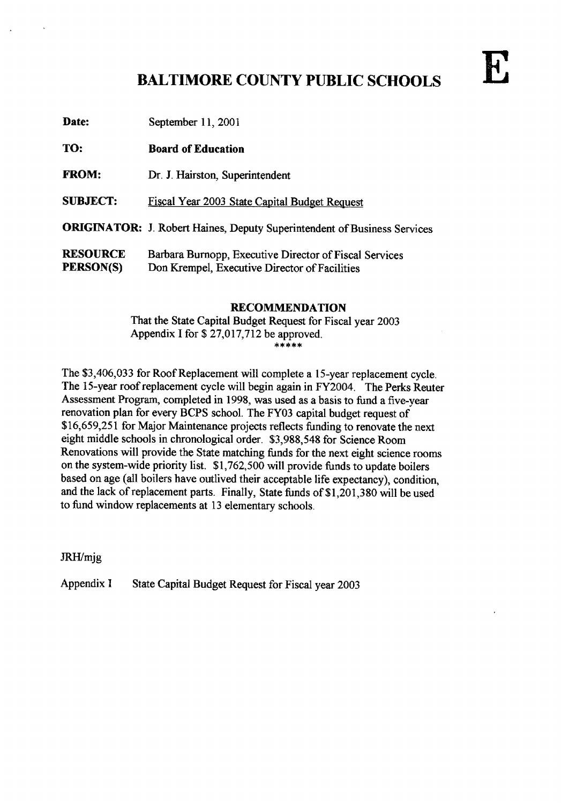# BALTIMORE COUNTY PUBLIC SCHOOLS

| TO:                          | <b>Board of Education</b>                                                                               |
|------------------------------|---------------------------------------------------------------------------------------------------------|
| <b>FROM:</b>                 | Dr. J. Hairston, Superintendent                                                                         |
| <b>SUBJECT:</b>              | Fiscal Year 2003 State Capital Budget Request                                                           |
|                              | <b>ORIGINATOR:</b> J. Robert Haines, Deputy Superintendent of Business Services                         |
| <b>RESOURCE</b><br>PERSON(S) | Barbara Burnopp, Executive Director of Fiscal Services<br>Don Krempel, Executive Director of Facilities |

Date: September 11, 2001

### RECOMMENDATION

That the State Capital Budget Request for Fiscal year 2003 Appendix I for  $$27,017,712$  be approved.

The \$3,406,033 for Roof Replacement will complete a 15-year replacement cycle. The 15-year roof replacement cycle will begin again in FY2004. The Perks Reuter Assessment Program, completed in 1998, was used as a basis to fund a five-year renovation plan for every BCPS school. The FY03 capital budget request of \$16,659,251 for Major Maintenance projects reflects funding to renovate the next eight middle schools in chronological order. \$3,988,548 for Science Room Renovations will provide the State matching funds for the next eight science rooms on the system-wide priority list. \$1,762,500 will provide funds to update boilers based on age (all boilers have outlived their acceptable life expectancy), condition, and the lack of replacement parts. Finally, State funds of \$1,201,380 will be used to fund window replacements at <sup>13</sup> elementary schools.

JRH/mjg

Appendix I State Capital Budget Request for Fiscal year 2003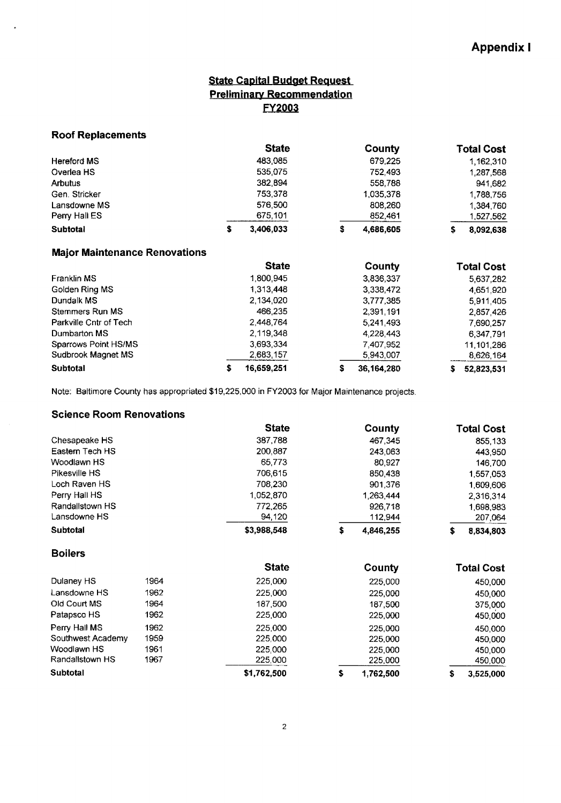## State Capital Budget Request **Preliminary Recommendation** FY2QO3

#### Roof Replacements

×

|               | <b>State</b> |   | County    |    | <b>Total Cost</b> |
|---------------|--------------|---|-----------|----|-------------------|
| Hereford MS   | 483.085      |   | 679.225   |    | 1.162,310         |
| Overlea HS    | 535.075      |   | 752.493   |    | 1.287,568         |
| Arbutus       | 382,894      |   | 558,788   |    | 941.682           |
| Gen Stricker  | 753.378      |   | 1.035.378 |    | 1,788,756         |
| Lansdowne MS  | 576,500      |   | 808,260   |    | 1.384.760         |
| Perry Hall ES | 675.101      |   | 852.461   |    | 1.527.562         |
| Subtotal      | 3,406,033    | s | 4,686,605 | S. | 8.092.638         |

## Major Maintenance Renovations

|                        | <b>State</b>  | County          | <b>Total Cost</b> |
|------------------------|---------------|-----------------|-------------------|
| Franklin MS            | 1800945       | 3,836,337       | 5.637.282         |
| Golden Ring MS         | 1 3 1 3 4 4 8 | 3.338.472       | 4.651.920         |
| Dundalk MS             | 2 134 020     | 3,777,385       | 5,911,405         |
| Stemmers Run MS        | 466.235       | 2,391,191       | 2 857 426         |
| Parkville Cntr of Tech | 2448764       | 5,241,493       | 7.690.257         |
| Dumbarton MS           | 2.119.348     | 4.228.443       | 6.347.791         |
| Sparrows Point HS/MS   | 3 693 334     | 7.407.952       | 11,101,286        |
| Sudbrook Magnet MS     | 2683.157      | 5.943,007       | 8.626.164         |
| Subtotal               | 16,659,251    | 36,164,280<br>s | 52,823,531        |

Note: Baltimore County has appropriated \$19,225,000 in FY2003 for Major Maintenance projects .

#### Science Room Renovations

|                   |      | <b>State</b> | County          | <b>Total Cost</b> |
|-------------------|------|--------------|-----------------|-------------------|
| Chesapeake HS     |      | 387,788      | 467,345         | 855,133           |
| Eastern Tech HS   |      | 200,887      | 243,063         | 443,950           |
| Woodlawn HS       |      | 65,773       | 80,927          | 146,700           |
| Pikesville HS     |      | 706,615      | 850,438         | 1,557,053         |
| Loch Raven HS     |      | 708,230      | 901,376         | 1,609,606         |
| Perry Hall HS     |      | 1,052,870    | 1,263,444       | 2.316,314         |
| Randallstown HS   |      | 772,265      | 926,718         | 1,698,983         |
| Lansdowne HS      |      | 94,120       | 112,944         | 207,064           |
| Subtotal          |      | \$3,988,548  | \$<br>4,846,255 | \$<br>8,834,803   |
| <b>Boilers</b>    |      |              |                 |                   |
|                   |      | <b>State</b> | County          | <b>Total Cost</b> |
| Dulaney HS        | 1964 | 225,000      | 225,000         | 450,000           |
| Lansdowne HS      | 1962 | 225,000      | 225,000         | 450,000           |
| Old Court MS      | 1964 | 187,500      | 187,500         | 375,000           |
| Patapsco HS       | 1962 | 225,000      | 225,000         | 450,000           |
| Perry Hall MS     | 1962 | 225,000      | 225,000         | 450,000           |
| Southwest Academy | 1959 | 225,000      | 225,000         | 450,000           |
| Woodlawn HS       | 1961 | 225,000      | 225,000         | 450,000           |
| Randallstown HS   | 1967 | 225,000      | 225,000         | 450,000           |
| Subtotal          |      | \$1,762,500  | \$<br>1,762,500 | \$<br>3,525,000   |